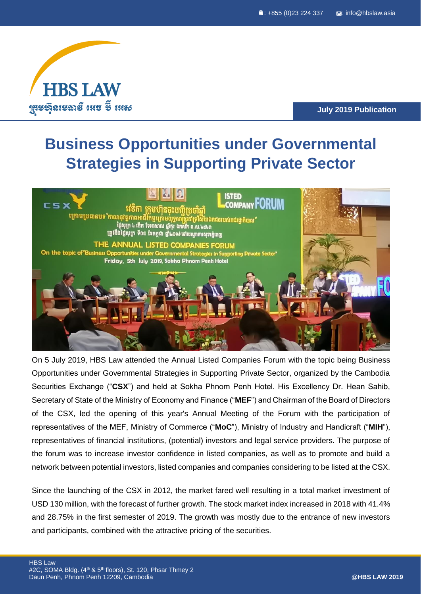

**July 2019 Publication**

# **Business Opportunities under Governmental Strategies in Supporting Private Sector**



On 5 July 2019, HBS Law attended the Annual Listed Companies Forum with the topic being Business Opportunities under Governmental Strategies in Supporting Private Sector, organized by the Cambodia Securities Exchange ("**CSX**") and held at Sokha Phnom Penh Hotel. His Excellency Dr. Hean Sahib, Secretary of State of the Ministry of Economy and Finance ("**MEF**") and Chairman of the Board of Directors of the CSX, led the opening of this year's Annual Meeting of the Forum with the participation of representatives of the MEF, Ministry of Commerce ("**MoC**"), Ministry of Industry and Handicraft ("**MIH**"), representatives of financial institutions, (potential) investors and legal service providers. The purpose of the forum was to increase investor confidence in listed companies, as well as to promote and build a network between potential investors, listed companies and companies considering to be listed at the CSX.

Since the launching of the CSX in 2012, the market fared well resulting in a total market investment of USD 130 million, with the forecast of further growth. The stock market index increased in 2018 with 41.4% and 28.75% in the first semester of 2019. The growth was mostly due to the entrance of new investors and participants, combined with the attractive pricing of the securities.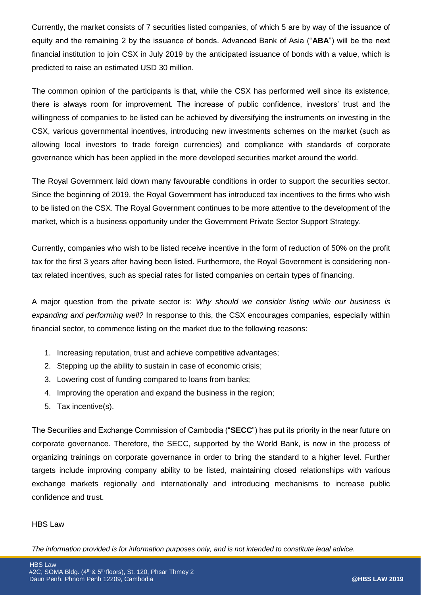Currently, the market consists of 7 securities listed companies, of which 5 are by way of the issuance of equity and the remaining 2 by the issuance of bonds. Advanced Bank of Asia ("**ABA**") will be the next financial institution to join CSX in July 2019 by the anticipated issuance of bonds with a value, which is predicted to raise an estimated USD 30 million.

The common opinion of the participants is that, while the CSX has performed well since its existence, there is always room for improvement. The increase of public confidence, investors' trust and the willingness of companies to be listed can be achieved by diversifying the instruments on investing in the CSX, various governmental incentives, introducing new investments schemes on the market (such as allowing local investors to trade foreign currencies) and compliance with standards of corporate governance which has been applied in the more developed securities market around the world.

The Royal Government laid down many favourable conditions in order to support the securities sector. Since the beginning of 2019, the Royal Government has introduced tax incentives to the firms who wish to be listed on the CSX. The Royal Government continues to be more attentive to the development of the market, which is a business opportunity under the Government Private Sector Support Strategy.

Currently, companies who wish to be listed receive incentive in the form of reduction of 50% on the profit tax for the first 3 years after having been listed. Furthermore, the Royal Government is considering nontax related incentives, such as special rates for listed companies on certain types of financing.

A major question from the private sector is: *Why should we consider listing while our business is expanding and performing well?* In response to this, the CSX encourages companies, especially within financial sector, to commence listing on the market due to the following reasons:

- 1. Increasing reputation, trust and achieve competitive advantages;
- 2. Stepping up the ability to sustain in case of economic crisis;
- 3. Lowering cost of funding compared to loans from banks;
- 4. Improving the operation and expand the business in the region;
- 5. Tax incentive(s).

The Securities and Exchange Commission of Cambodia ("**SECC**") has put its priority in the near future on corporate governance. Therefore, the SECC, supported by the World Bank, is now in the process of organizing trainings on corporate governance in order to bring the standard to a higher level. Further targets include improving company ability to be listed, maintaining closed relationships with various exchange markets regionally and internationally and introducing mechanisms to increase public confidence and trust.

### HBS Law

*The information provided is for information purposes only, and is not intended to constitute legal advice.*